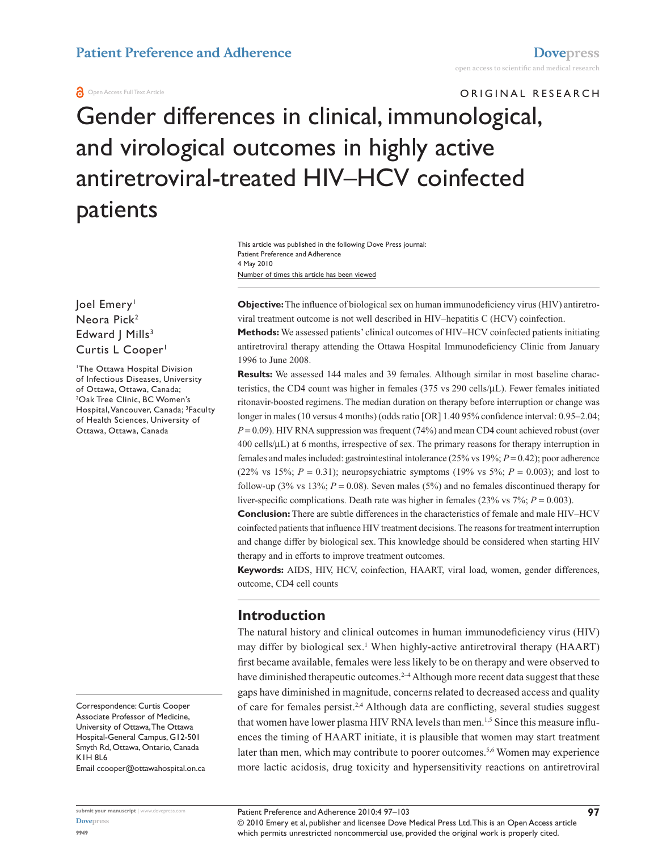#### **A** Open Access Full Text Article

# ORIGINAL RESEARCH Gender differences in clinical, immunological, and virological outcomes in highly active antiretroviral-treated HIV–HCV coinfected patients

Number of times this article has been viewed This article was published in the following Dove Press journal: Patient Preference and Adherence 4 May 2010

Joel Emery<sup>1</sup> Neora Pick<sup>2</sup> Edward | Mills<sup>3</sup> Curtis L Cooper<sup>1</sup>

1 The Ottawa Hospital Division of Infectious Diseases, University of Ottawa, Ottawa, Canada; 2 Oak Tree Clinic, BC Women's Hospital, Vancouver, Canada; <sup>3</sup>Faculty of Health Sciences, University of Ottawa, Ottawa, Canada

Correspondence: Curtis Cooper Associate Professor of Medicine, University of Ottawa, The Ottawa Hospital-General Campus, G12-501 Smyth Rd, Ottawa, Ontario, Canada K1H 8L6 Email ccooper@ottawahospital.on.ca

**submit your manuscript** | <www.dovepress.com>

Patient Preference and Adherence 2010:4 97–103

**Objective:** The influence of biological sex on human immunodeficiency virus (HIV) antiretroviral treatment outcome is not well described in HIV–hepatitis C (HCV) coinfection.

**Methods:** We assessed patients' clinical outcomes of HIV–HCV coinfected patients initiating antiretroviral therapy attending the Ottawa Hospital Immunodeficiency Clinic from January 1996 to June 2008.

**Results:** We assessed 144 males and 39 females. Although similar in most baseline characteristics, the CD4 count was higher in females (375 vs 290 cells/µL). Fewer females initiated ritonavir-boosted regimens. The median duration on therapy before interruption or change was longer in males (10 versus 4 months) (odds ratio [OR] 1.40 95% confidence interval: 0.95–2.04;  $P = 0.09$ ). HIV RNA suppression was frequent (74%) and mean CD4 count achieved robust (over 400 cells/µL) at 6 months, irrespective of sex. The primary reasons for therapy interruption in females and males included: gastrointestinal intolerance (25% vs 19%; *P* = 0.42); poor adherence (22% vs 15%;  $P = 0.31$ ); neuropsychiatric symptoms (19% vs 5%;  $P = 0.003$ ); and lost to follow-up (3% vs 13%;  $P = 0.08$ ). Seven males (5%) and no females discontinued therapy for liver-specific complications. Death rate was higher in females (23% vs 7%; *P* = 0.003).

**Conclusion:** There are subtle differences in the characteristics of female and male HIV–HCV coinfected patients that influence HIV treatment decisions. The reasons for treatment interruption and change differ by biological sex. This knowledge should be considered when starting HIV therapy and in efforts to improve treatment outcomes.

**Keywords:** AIDS, HIV, HCV, coinfection, HAART, viral load, women, gender differences, outcome, CD4 cell counts

## **Introduction**

The natural history and clinical outcomes in human immunodeficiency virus (HIV) may differ by biological sex.<sup>1</sup> When highly-active antiretroviral therapy (HAART) first became available, females were less likely to be on therapy and were observed to have diminished therapeutic outcomes.<sup>2-4</sup> Although more recent data suggest that these gaps have diminished in magnitude, concerns related to decreased access and quality of care for females persist.2,4 Although data are conflicting, several studies suggest that women have lower plasma HIV RNA levels than men.<sup>1,5</sup> Since this measure influences the timing of HAART initiate, it is plausible that women may start treatment later than men, which may contribute to poorer outcomes.<sup>5,6</sup> Women may experience more lactic acidosis, drug toxicity and hypersensitivity reactions on antiretroviral

© 2010 Emery et al, publisher and licensee Dove Medical Press Ltd. This is an Open Access article which permits unrestricted noncommercial use, provided the original work is properly cited.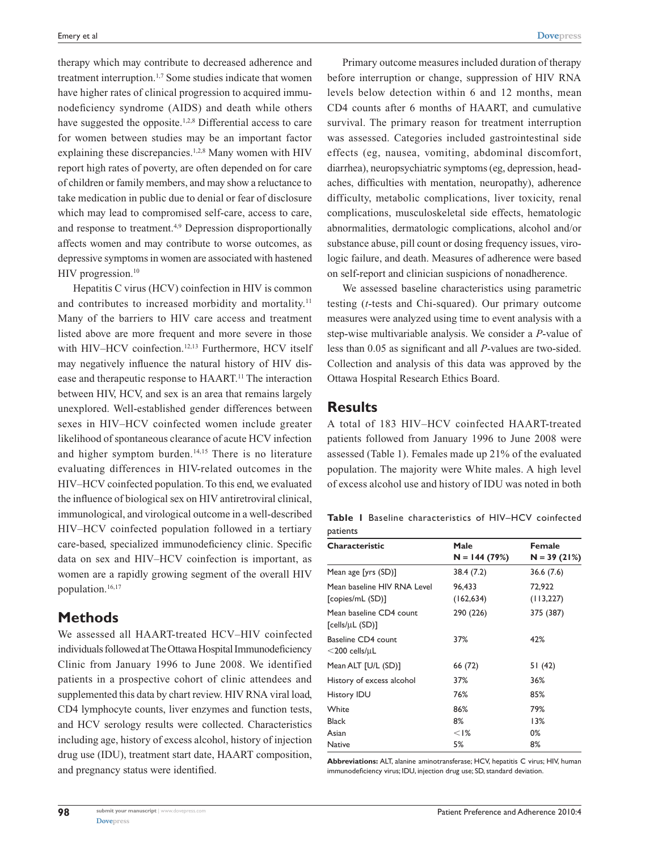therapy which may contribute to decreased adherence and treatment interruption.<sup>1,7</sup> Some studies indicate that women have higher rates of clinical progression to acquired immunodeficiency syndrome (AIDS) and death while others have suggested the opposite.<sup>1,2,8</sup> Differential access to care for women between studies may be an important factor explaining these discrepancies.<sup>1,2,8</sup> Many women with HIV report high rates of poverty, are often depended on for care of children or family members, and may show a reluctance to take medication in public due to denial or fear of disclosure which may lead to compromised self-care, access to care, and response to treatment.<sup>4,9</sup> Depression disproportionally affects women and may contribute to worse outcomes, as depressive symptoms in women are associated with hastened HIV progression.<sup>10</sup>

Hepatitis C virus (HCV) coinfection in HIV is common and contributes to increased morbidity and mortality.<sup>11</sup> Many of the barriers to HIV care access and treatment listed above are more frequent and more severe in those with HIV-HCV coinfection.<sup>12,13</sup> Furthermore, HCV itself may negatively influence the natural history of HIV disease and therapeutic response to HAART.11 The interaction between HIV, HCV, and sex is an area that remains largely unexplored. Well-established gender differences between sexes in HIV–HCV coinfected women include greater likelihood of spontaneous clearance of acute HCV infection and higher symptom burden.<sup>14,15</sup> There is no literature evaluating differences in HIV-related outcomes in the HIV–HCV coinfected population. To this end, we evaluated the influence of biological sex on HIV antiretroviral clinical, immunological, and virological outcome in a well-described HIV–HCV coinfected population followed in a tertiary care-based, specialized immunodeficiency clinic. Specific data on sex and HIV–HCV coinfection is important, as women are a rapidly growing segment of the overall HIV population.<sup>16,17</sup>

## **Methods**

We assessed all HAART-treated HCV–HIV coinfected individuals followed at The Ottawa Hospital Immunodeficiency Clinic from January 1996 to June 2008. We identified patients in a prospective cohort of clinic attendees and supplemented this data by chart review. HIV RNA viral load, CD4 lymphocyte counts, liver enzymes and function tests, and HCV serology results were collected. Characteristics including age, history of excess alcohol, history of injection drug use (IDU), treatment start date, HAART composition, and pregnancy status were identified.

Primary outcome measures included duration of therapy before interruption or change, suppression of HIV RNA levels below detection within 6 and 12 months, mean CD4 counts after 6 months of HAART, and cumulative survival. The primary reason for treatment interruption was assessed. Categories included gastrointestinal side effects (eg, nausea, vomiting, abdominal discomfort, diarrhea), neuropsychiatric symptoms (eg, depression, headaches, difficulties with mentation, neuropathy), adherence difficulty, metabolic complications, liver toxicity, renal complications, musculoskeletal side effects, hematologic abnormalities, dermatologic complications, alcohol and/or substance abuse, pill count or dosing frequency issues, virologic failure, and death. Measures of adherence were based on self-report and clinician suspicions of nonadherence.

We assessed baseline characteristics using parametric testing (*t*-tests and Chi-squared). Our primary outcome measures were analyzed using time to event analysis with a step-wise multivariable analysis. We consider a *P*-value of less than 0.05 as significant and all *P*-values are two-sided. Collection and analysis of this data was approved by the Ottawa Hospital Research Ethics Board.

### **Results**

A total of 183 HIV–HCV coinfected HAART-treated patients followed from January 1996 to June 2008 were assessed (Table 1). Females made up 21% of the evaluated population. The majority were White males. A high level of excess alcohol use and history of IDU was noted in both

**Table 1** Baseline characteristics of HIV–HCV coinfected patients

| Male              | <b>Female</b> |
|-------------------|---------------|
| $N = 144(79%)$    | $N = 39(21%)$ |
| 38.4 (7.2)        | 36.6(7.6)     |
| 96,433            | 72,922        |
| (162, 634)        | (113, 227)    |
| 290 (226)         | 375 (387)     |
| 37%               | 42%           |
| 66 (72)           | 51(42)        |
| 37%               | 36%           |
| 76%               | 85%           |
| 86%               | 79%           |
| 8%                | 13%           |
| $<$ $\frac{8}{6}$ | 0%            |
| 5%                | 8%            |
|                   |               |

**Abbreviations:** ALT, alanine aminotransferase; HCV, hepatitis C virus; HIV, human immunodeficiency virus; IDU, injection drug use; SD, standard deviation.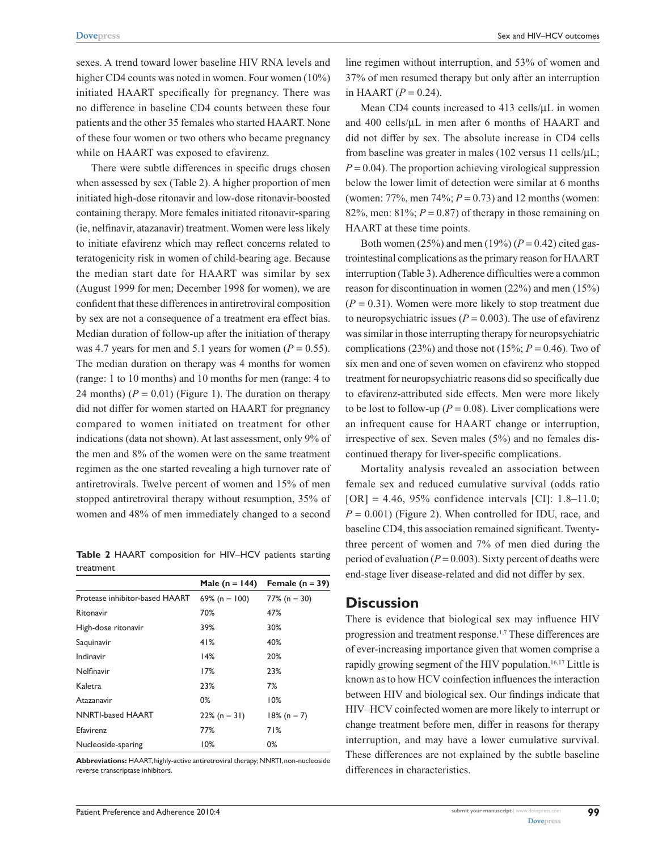sexes. A trend toward lower baseline HIV RNA levels and higher CD4 counts was noted in women. Four women (10%) initiated HAART specifically for pregnancy. There was no difference in baseline CD4 counts between these four patients and the other 35 females who started HAART. None of these four women or two others who became pregnancy while on HAART was exposed to efavirenz.

There were subtle differences in specific drugs chosen when assessed by sex (Table 2). A higher proportion of men initiated high-dose ritonavir and low-dose ritonavir-boosted containing therapy. More females initiated ritonavir-sparing (ie, nelfinavir, atazanavir) treatment. Women were less likely to initiate efavirenz which may reflect concerns related to teratogenicity risk in women of child-bearing age. Because the median start date for HAART was similar by sex (August 1999 for men; December 1998 for women), we are confident that these differences in antiretroviral composition by sex are not a consequence of a treatment era effect bias. Median duration of follow-up after the initiation of therapy was 4.7 years for men and 5.1 years for women ( $P = 0.55$ ). The median duration on therapy was 4 months for women (range: 1 to 10 months) and 10 months for men (range: 4 to 24 months)  $(P = 0.01)$  (Figure 1). The duration on therapy did not differ for women started on HAART for pregnancy compared to women initiated on treatment for other indications (data not shown). At last assessment, only 9% of the men and 8% of the women were on the same treatment regimen as the one started revealing a high turnover rate of antiretrovirals. Twelve percent of women and 15% of men stopped antiretroviral therapy without resumption, 35% of women and 48% of men immediately changed to a second

**Table 2** HAART composition for HIV–HCV patients starting treatment

|                                | Male (n = $144$ ) | Female $(n = 39)$ |
|--------------------------------|-------------------|-------------------|
| Protease inhibitor-based HAART | 69% (n = 100)     | 77% (n = 30)      |
| Ritonavir                      | 70%               | 47%               |
| High-dose ritonavir            | 39%               | 30%               |
| Saquinavir                     | 41%               | 40%               |
| Indinavir                      | 14%               | 20%               |
| Nelfinavir                     | 17%               | 23%               |
| Kaletra                        | 23%               | 7%                |
| Atazanavir                     | $0\%$             | 10%               |
| <b>NNRTI-based HAART</b>       | $22\%$ (n = 31)   | $18\%$ (n = 7)    |
| <b>Efavirenz</b>               | 77%               | 71%               |
| Nucleoside-sparing             | 10%               | 0%                |

**Abbreviations:** HAART, highly-active antiretroviral therapy; NNRTI, non-nucleoside reverse transcriptase inhibitors.

line regimen without interruption, and 53% of women and 37% of men resumed therapy but only after an interruption in HAART  $(P = 0.24)$ .

Mean CD4 counts increased to 413 cells/ $\mu$ L in women and 400 cells/µL in men after 6 months of HAART and did not differ by sex. The absolute increase in CD4 cells from baseline was greater in males (102 versus 11 cells/ $\mu$ L;  $P = 0.04$ ). The proportion achieving virological suppression below the lower limit of detection were similar at 6 months (women: 77%, men 74%; *P* = 0.73) and 12 months (women: 82%, men:  $81\%$ ;  $P = 0.87$ ) of therapy in those remaining on HAART at these time points.

Both women (25%) and men (19%) ( $P = 0.42$ ) cited gastrointestinal complications as the primary reason for HAART interruption (Table 3). Adherence difficulties were a common reason for discontinuation in women (22%) and men (15%)  $(P = 0.31)$ . Women were more likely to stop treatment due to neuropsychiatric issues ( $P = 0.003$ ). The use of efavirenz was similar in those interrupting therapy for neuropsychiatric complications (23%) and those not (15%;  $P = 0.46$ ). Two of six men and one of seven women on efavirenz who stopped treatment for neuropsychiatric reasons did so specifically due to efavirenz-attributed side effects. Men were more likely to be lost to follow-up ( $P = 0.08$ ). Liver complications were an infrequent cause for HAART change or interruption, irrespective of sex. Seven males (5%) and no females discontinued therapy for liver-specific complications.

Mortality analysis revealed an association between female sex and reduced cumulative survival (odds ratio  $[OR] = 4.46, 95\%$  confidence intervals  $[CI]$ : 1.8–11.0;  $P = 0.001$ ) (Figure 2). When controlled for IDU, race, and baseline CD4, this association remained significant. Twentythree percent of women and 7% of men died during the period of evaluation ( $P = 0.003$ ). Sixty percent of deaths were end-stage liver disease-related and did not differ by sex.

## **Discussion**

There is evidence that biological sex may influence HIV progression and treatment response.1,7 These differences are of ever-increasing importance given that women comprise a rapidly growing segment of the HIV population.<sup>16,17</sup> Little is known as to how HCV coinfection influences the interaction between HIV and biological sex. Our findings indicate that HIV–HCV coinfected women are more likely to interrupt or change treatment before men, differ in reasons for therapy interruption, and may have a lower cumulative survival. These differences are not explained by the subtle baseline differences in characteristics.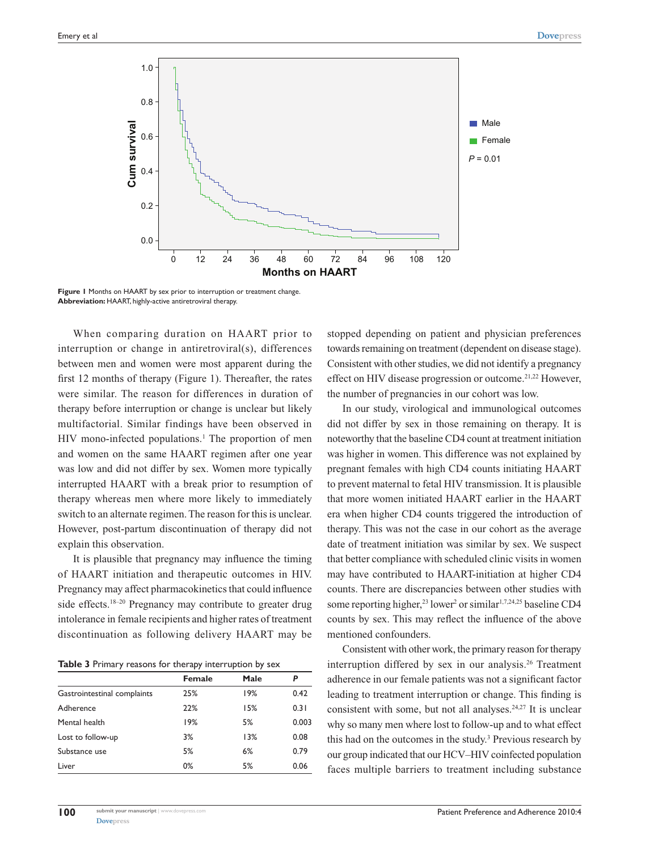

**Figure 1** Months on HAART by sex prior to interruption or treatment change. **Abbreviation:** HAART, highly-active antiretroviral therapy.

When comparing duration on HAART prior to interruption or change in antiretroviral(s), differences between men and women were most apparent during the first 12 months of therapy (Figure 1). Thereafter, the rates were similar. The reason for differences in duration of therapy before interruption or change is unclear but likely multifactorial. Similar findings have been observed in HIV mono-infected populations.<sup>1</sup> The proportion of men and women on the same HAART regimen after one year was low and did not differ by sex. Women more typically interrupted HAART with a break prior to resumption of therapy whereas men where more likely to immediately switch to an alternate regimen. The reason for this is unclear. However, post-partum discontinuation of therapy did not explain this observation.

It is plausible that pregnancy may influence the timing of HAART initiation and therapeutic outcomes in HIV. Pregnancy may affect pharmacokinetics that could influence side effects.<sup>18–20</sup> Pregnancy may contribute to greater drug intolerance in female recipients and higher rates of treatment discontinuation as following delivery HAART may be

**Table 3** Primary reasons for therapy interruption by sex

|                             | <b>Female</b> | Male | Ρ     |
|-----------------------------|---------------|------|-------|
| Gastrointestinal complaints | 25%           | 19%  | 0.42  |
| Adherence                   | 22%           | 15%  | 0.31  |
| Mental health               | 19%           | 5%   | 0.003 |
| Lost to follow-up           | 3%            | 13%  | 0.08  |
| Substance use               | 5%            | 6%   | 0.79  |
| Liver                       | 0%            | 5%   | 0.06  |

stopped depending on patient and physician preferences towards remaining on treatment (dependent on disease stage). Consistent with other studies, we did not identify a pregnancy effect on HIV disease progression or outcome.<sup>21,22</sup> However, the number of pregnancies in our cohort was low.

In our study, virological and immunological outcomes did not differ by sex in those remaining on therapy. It is noteworthy that the baseline CD4 count at treatment initiation was higher in women. This difference was not explained by pregnant females with high CD4 counts initiating HAART to prevent maternal to fetal HIV transmission. It is plausible that more women initiated HAART earlier in the HAART era when higher CD4 counts triggered the introduction of therapy. This was not the case in our cohort as the average date of treatment initiation was similar by sex. We suspect that better compliance with scheduled clinic visits in women may have contributed to HAART-initiation at higher CD4 counts. There are discrepancies between other studies with some reporting higher,<sup>23</sup> lower<sup>2</sup> or similar<sup>1,7,24,25</sup> baseline CD4 counts by sex. This may reflect the influence of the above mentioned confounders.

Consistent with other work, the primary reason for therapy interruption differed by sex in our analysis.26 Treatment adherence in our female patients was not a significant factor leading to treatment interruption or change. This finding is consistent with some, but not all analyses.<sup>24,27</sup> It is unclear why so many men where lost to follow-up and to what effect this had on the outcomes in the study.3 Previous research by our group indicated that our HCV–HIV coinfected population faces multiple barriers to treatment including substance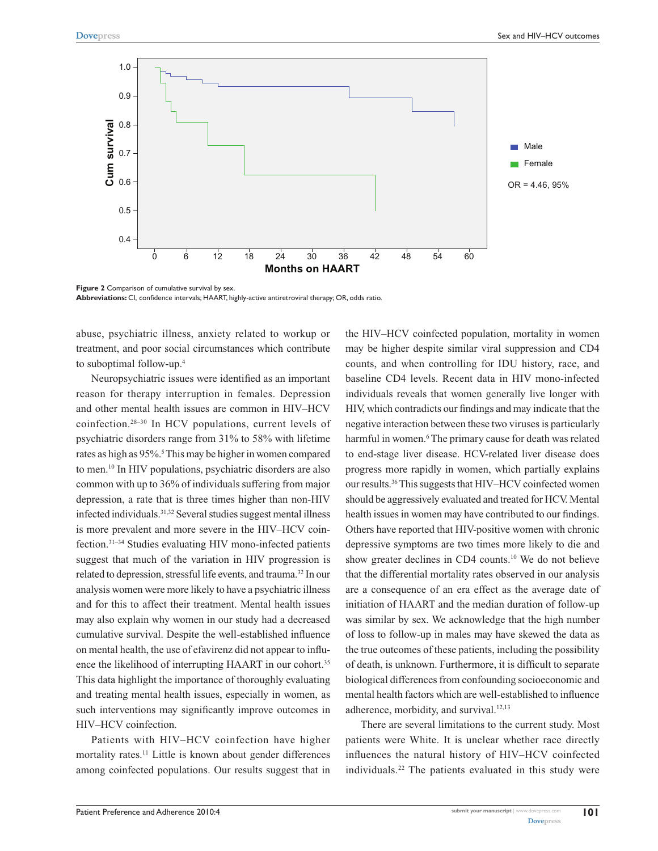

Figure 2 Comparison of cumulative survival by sex. **Abbreviations:** CI, confidence intervals; HAART, highly-active antiretroviral therapy; OR, odds ratio.

abuse, psychiatric illness, anxiety related to workup or treatment, and poor social circumstances which contribute to suboptimal follow-up.4

Neuropsychiatric issues were identified as an important reason for therapy interruption in females. Depression and other mental health issues are common in HIV–HCV coinfection.28–30 In HCV populations, current levels of psychiatric disorders range from 31% to 58% with lifetime rates as high as 95%.<sup>5</sup> This may be higher in women compared to men.10 In HIV populations, psychiatric disorders are also common with up to 36% of individuals suffering from major depression, a rate that is three times higher than non-HIV infected individuals.<sup>31,32</sup> Several studies suggest mental illness is more prevalent and more severe in the HIV–HCV coinfection.31–34 Studies evaluating HIV mono-infected patients suggest that much of the variation in HIV progression is related to depression, stressful life events, and trauma.32 In our analysis women were more likely to have a psychiatric illness and for this to affect their treatment. Mental health issues may also explain why women in our study had a decreased cumulative survival. Despite the well-established influence on mental health, the use of efavirenz did not appear to influence the likelihood of interrupting HAART in our cohort.<sup>35</sup> This data highlight the importance of thoroughly evaluating and treating mental health issues, especially in women, as such interventions may significantly improve outcomes in HIV–HCV coinfection.

Patients with HIV–HCV coinfection have higher mortality rates.<sup>11</sup> Little is known about gender differences among coinfected populations. Our results suggest that in the HIV–HCV coinfected population, mortality in women may be higher despite similar viral suppression and CD4 counts, and when controlling for IDU history, race, and baseline CD4 levels. Recent data in HIV mono-infected individuals reveals that women generally live longer with HIV, which contradicts our findings and may indicate that the negative interaction between these two viruses is particularly harmful in women.<sup>6</sup> The primary cause for death was related to end-stage liver disease. HCV-related liver disease does progress more rapidly in women, which partially explains our results.36 This suggests that HIV–HCV coinfected women should be aggressively evaluated and treated for HCV. Mental health issues in women may have contributed to our findings. Others have reported that HIV-positive women with chronic depressive symptoms are two times more likely to die and show greater declines in CD4 counts.10 We do not believe that the differential mortality rates observed in our analysis are a consequence of an era effect as the average date of initiation of HAART and the median duration of follow-up was similar by sex. We acknowledge that the high number of loss to follow-up in males may have skewed the data as the true outcomes of these patients, including the possibility of death, is unknown. Furthermore, it is difficult to separate biological differences from confounding socioeconomic and mental health factors which are well-established to influence adherence, morbidity, and survival.<sup>12,13</sup>

There are several limitations to the current study. Most patients were White. It is unclear whether race directly influences the natural history of HIV–HCV coinfected individuals.22 The patients evaluated in this study were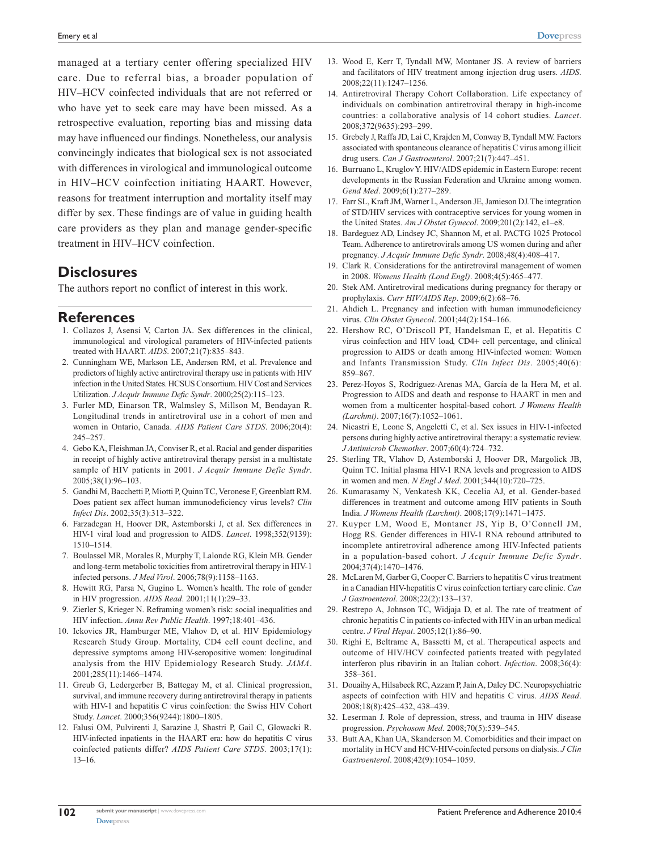managed at a tertiary center offering specialized HIV care. Due to referral bias, a broader population of HIV–HCV coinfected individuals that are not referred or who have yet to seek care may have been missed. As a retrospective evaluation, reporting bias and missing data may have influenced our findings. Nonetheless, our analysis convincingly indicates that biological sex is not associated with differences in virological and immunological outcome in HIV–HCV coinfection initiating HAART. However, reasons for treatment interruption and mortality itself may differ by sex. These findings are of value in guiding health care providers as they plan and manage gender-specific treatment in HIV–HCV coinfection.

## **Disclosures**

The authors report no conflict of interest in this work.

### **References**

- 1. Collazos J, Asensi V, Carton JA. Sex differences in the clinical, immunological and virological parameters of HIV-infected patients treated with HAART. *AIDS*. 2007;21(7):835–843.
- 2. Cunningham WE, Markson LE, Andersen RM, et al. Prevalence and predictors of highly active antiretroviral therapy use in patients with HIV infection in the United States. HCSUS Consortium. HIV Cost and Services Utilization. *J Acquir Immune Defic Syndr*. 2000;25(2):115–123.
- 3. Furler MD, Einarson TR, Walmsley S, Millson M, Bendayan R. Longitudinal trends in antiretroviral use in a cohort of men and women in Ontario, Canada. *AIDS Patient Care STDS*. 2006;20(4): 245–257.
- 4. Gebo KA, Fleishman JA, Conviser R, et al. Racial and gender disparities in receipt of highly active antiretroviral therapy persist in a multistate sample of HIV patients in 2001. *J Acquir Immune Defic Syndr*. 2005;38(1):96–103.
- 5. Gandhi M, Bacchetti P, Miotti P, Quinn TC, Veronese F, Greenblatt RM. Does patient sex affect human immunodeficiency virus levels? *Clin Infect Dis*. 2002;35(3):313–322.
- 6. Farzadegan H, Hoover DR, Astemborski J, et al. Sex differences in HIV-1 viral load and progression to AIDS. *Lancet*. 1998;352(9139): 1510–1514.
- 7. Boulassel MR, Morales R, Murphy T, Lalonde RG, Klein MB. Gender and long-term metabolic toxicities from antiretroviral therapy in HIV-1 infected persons. *J Med Virol*. 2006;78(9):1158–1163.
- 8. Hewitt RG, Parsa N, Gugino L. Women's health. The role of gender in HIV progression. *AIDS Read*. 2001;11(1):29–33.
- 9. Zierler S, Krieger N. Reframing women's risk: social inequalities and HIV infection. *Annu Rev Public Health*. 1997;18:401–436.
- 10. Ickovics JR, Hamburger ME, Vlahov D, et al. HIV Epidemiology Research Study Group. Mortality, CD4 cell count decline, and depressive symptoms among HIV-seropositive women: longitudinal analysis from the HIV Epidemiology Research Study. *JAMA*. 2001;285(11):1466–1474.
- 11. Greub G, Ledergerber B, Battegay M, et al. Clinical progression, survival, and immune recovery during antiretroviral therapy in patients with HIV-1 and hepatitis C virus coinfection: the Swiss HIV Cohort Study. *Lancet*. 2000;356(9244):1800–1805.
- 12. Falusi OM, Pulvirenti J, Sarazine J, Shastri P, Gail C, Glowacki R. HIV-infected inpatients in the HAART era: how do hepatitis C virus coinfected patients differ? *AIDS Patient Care STDS*. 2003;17(1): 13–16.
- 13. Wood E, Kerr T, Tyndall MW, Montaner JS. A review of barriers and facilitators of HIV treatment among injection drug users. *AIDS*. 2008;22(11):1247–1256.
- 14. Antiretroviral Therapy Cohort Collaboration. Life expectancy of individuals on combination antiretroviral therapy in high-income countries: a collaborative analysis of 14 cohort studies. *Lancet*. 2008;372(9635):293–299.
- 15. Grebely J, Raffa JD, Lai C, Krajden M, Conway B, Tyndall MW. Factors associated with spontaneous clearance of hepatitis C virus among illicit drug users. *Can J Gastroenterol*. 2007;21(7):447–451.
- 16. Burruano L, Kruglov Y. HIV/AIDS epidemic in Eastern Europe: recent developments in the Russian Federation and Ukraine among women. *Gend Med*. 2009;6(1):277–289.
- 17. Farr SL, Kraft JM, Warner L, Anderson JE, Jamieson DJ. The integration of STD/HIV services with contraceptive services for young women in the United States. *Am J Obstet Gynecol*. 2009;201(2):142, e1–e8.
- 18. Bardeguez AD, Lindsey JC, Shannon M, et al. PACTG 1025 Protocol Team. Adherence to antiretrovirals among US women during and after pregnancy. *J Acquir Immune Defic Syndr*. 2008;48(4):408–417.
- 19. Clark R. Considerations for the antiretroviral management of women in 2008. *Womens Health (Lond Engl)*. 2008;4(5):465–477.
- 20. Stek AM. Antiretroviral medications during pregnancy for therapy or prophylaxis. *Curr HIV/AIDS Rep*. 2009;6(2):68–76.
- 21. Ahdieh L. Pregnancy and infection with human immunodeficiency virus. *Clin Obstet Gynecol*. 2001;44(2):154–166.
- 22. Hershow RC, O'Driscoll PT, Handelsman E, et al. Hepatitis C virus coinfection and HIV load, CD4+ cell percentage, and clinical progression to AIDS or death among HIV-infected women: Women and Infants Transmission Study. *Clin Infect Dis*. 2005;40(6): 859–867.
- 23. Perez-Hoyos S, Rodríguez-Arenas MA, García de la Hera M, et al. Progression to AIDS and death and response to HAART in men and women from a multicenter hospital-based cohort. *J Womens Health (Larchmt)*. 2007;16(7):1052–1061.
- 24. Nicastri E, Leone S, Angeletti C, et al. Sex issues in HIV-1-infected persons during highly active antiretroviral therapy: a systematic review. *J Antimicrob Chemother*. 2007;60(4):724–732.
- 25. Sterling TR, Vlahov D, Astemborski J, Hoover DR, Margolick JB, Quinn TC. Initial plasma HIV-1 RNA levels and progression to AIDS in women and men. *N Engl J Med*. 2001;344(10):720–725.
- 26. Kumarasamy N, Venkatesh KK, Cecelia AJ, et al. Gender-based differences in treatment and outcome among HIV patients in South India. *J Womens Health (Larchmt)*. 2008;17(9):1471–1475.
- 27. Kuyper LM, Wood E, Montaner JS, Yip B, O'Connell JM, Hogg RS. Gender differences in HIV-1 RNA rebound attributed to incomplete antiretroviral adherence among HIV-Infected patients in a population-based cohort. *J Acquir Immune Defic Syndr*. 2004;37(4):1470–1476.
- 28. McLaren M, Garber G, Cooper C. Barriers to hepatitis C virus treatment in a Canadian HIV-hepatitis C virus coinfection tertiary care clinic. *Can J Gastroenterol*. 2008;22(2):133–137.
- 29. Restrepo A, Johnson TC, Widjaja D, et al. The rate of treatment of chronic hepatitis C in patients co-infected with HIV in an urban medical centre. *J Viral Hepat*. 2005;12(1):86–90.
- 30. Righi E, Beltrame A, Bassetti M, et al. Therapeutical aspects and outcome of HIV/HCV coinfected patients treated with pegylated interferon plus ribavirin in an Italian cohort. *Infection*. 2008;36(4): 358–361.
- 31. Douaihy A, Hilsabeck RC, Azzam P, Jain A, Daley DC. Neuropsychiatric aspects of coinfection with HIV and hepatitis C virus. *AIDS Read*. 2008;18(8):425–432, 438–439.
- 32. Leserman J. Role of depression, stress, and trauma in HIV disease progression. *Psychosom Med*. 2008;70(5):539–545.
- 33. Butt AA, Khan UA, Skanderson M. Comorbidities and their impact on mortality in HCV and HCV-HIV-coinfected persons on dialysis. *J Clin Gastroenterol*. 2008;42(9):1054–1059.